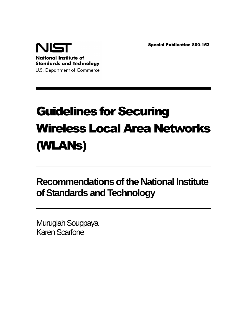



# Guidelines for Securing Wireless Local Area Networks (WLANs)

# **Recommendations of the National Institute of Standards and Technology**

Murugiah Souppaya Karen Scarfone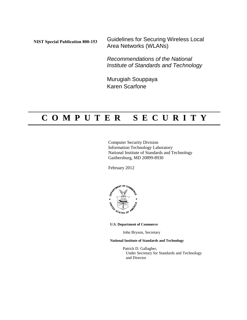**NIST Special Publication 800-153** Guidelines for Securing Wireless Local Area Networks (WLANs)

> *Recommendations of the National Institute of Standards and Technology*

Murugiah Souppaya Karen Scarfone

# **C O M P U T E R S E C U R I T Y**

Computer Security Division Information Technology Laboratory National Institute of Standards and Technology Gaithersburg, MD 20899-8930

February 2012



**U.S. Department of Commerce**

John Bryson, Secretary

**National Institute of Standards and Technology**

Patrick D. Gallagher, Under Secretary for Standards and Technology and Director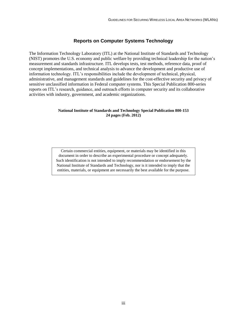# **Reports on Computer Systems Technology**

The Information Technology Laboratory (ITL) at the National Institute of Standards and Technology (NIST) promotes the U.S. economy and public welfare by providing technical leadership for the nation's measurement and standards infrastructure. ITL develops tests, test methods, reference data, proof of concept implementations, and technical analysis to advance the development and productive use of information technology. ITL's responsibilities include the development of technical, physical, administrative, and management standards and guidelines for the cost-effective security and privacy of sensitive unclassified information in Federal computer systems. This Special Publication 800-series reports on ITL's research, guidance, and outreach efforts in computer security and its collaborative activities with industry, government, and academic organizations.

#### **National Institute of Standards and Technology Special Publication 800-153 24 pages (Feb. 2012)**

Certain commercial entities, equipment, or materials may be identified in this document in order to describe an experimental procedure or concept adequately. Such identification is not intended to imply recommendation or endorsement by the National Institute of Standards and Technology, nor is it intended to imply that the entities, materials, or equipment are necessarily the best available for the purpose.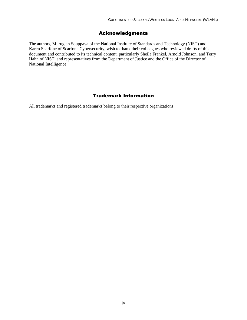# Acknowledgments

The authors, Murugiah Souppaya of the National Institute of Standards and Technology (NIST) and Karen Scarfone of Scarfone Cybersecurity, wish to thank their colleagues who reviewed drafts of this document and contributed to its technical content, particularly Sheila Frankel, Arnold Johnson, and Terry Hahn of NIST, and representatives from the Department of Justice and the Office of the Director of National Intelligence.

# Trademark Information

All trademarks and registered trademarks belong to their respective organizations.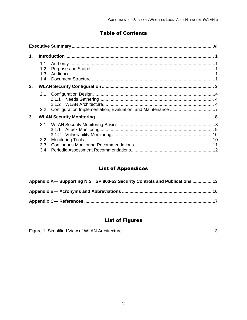# **Table of Contents**

| $\mathbf 1$ |                          |       |  |  |  |  |
|-------------|--------------------------|-------|--|--|--|--|
|             | 1.1<br>1.2<br>1.3<br>1.4 |       |  |  |  |  |
| 2.          |                          |       |  |  |  |  |
|             | 2.1<br>$2.2^{\circ}$     |       |  |  |  |  |
| 3.          |                          |       |  |  |  |  |
|             | 3.1<br>3.2<br>3.3<br>3.4 | 3.1.1 |  |  |  |  |

# **List of Appendices**

| Appendix A— Supporting NIST SP 800-53 Security Controls and Publications 13 |  |
|-----------------------------------------------------------------------------|--|
|                                                                             |  |
|                                                                             |  |

# **List of Figures**

|--|--|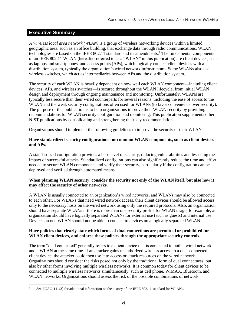# <span id="page-5-0"></span>**Executive Summary**

A *wireless local area network (WLAN)* is a group of wireless networking devices within a limited geographic area, such as an office building, that exchange data through radio communications. WLAN technologies are based on the IEEE 802.11 standard and its amendments.<sup>1</sup> The fundamental components of an IEEE 802.11 WLAN (hereafter referred to as a "WLAN" in this publication) are client devices, such as laptops and smartphones, and access points (APs), which logically connect client devices with a distribution system, typically the organization's wired network infrastructure. Some WLANs also use wireless switches, which act as intermediaries between APs and the distribution system.

The security of each WLAN is heavily dependent on how well each WLAN component—including client devices, APs, and wireless switches—is secured throughout the WLAN lifecycle, from initial WLAN design and deployment through ongoing maintenance and monitoring. Unfortunately, WLANs are typically less secure than their wired counterparts for several reasons, including the ease of access to the WLAN and the weak security configurations often used for WLANs (to favor convenience over security). The purpose of this publication is to help organizations improve their WLAN security by providing recommendations for WLAN security configuration and monitoring. This publication supplements other NIST publications by consolidating and strengthening their key recommendations.

Organizations should implement the following guidelines to improve the security of their WLANs.

# **Have standardized security configurations for common WLAN components, such as client devices and APs.**

A standardized configuration provides a base level of security, reducing vulnerabilities and lessening the impact of successful attacks. Standardized configurations can also significantly reduce the time and effort needed to secure WLAN components and verify their security, particularly if the configuration can be deployed and verified through automated means.

# **When planning WLAN security, consider the security not only of the WLAN itself, but also how it may affect the security of other networks.**

A WLAN is usually connected to an organization's wired networks, and WLANs may also be connected to each other. For WLANs that need wired network access, their client devices should be allowed access only to the necessary hosts on the wired network using only the required protocols. Also, an organization should have separate WLANs if there is more than one security profile for WLAN usage; for example, an organization should have logically separated WLANs for external use (such as guests) and internal use. Devices on one WLAN should not be able to connect to devices on a logically separated WLAN.

# **Have policies that clearly state which forms of dual connections are permitted or prohibited for WLAN client devices, and enforce these policies through the appropriate security controls.**

The term "dual connected" generally refers to a client device that is connected to both a wired network and a WLAN at the same time. If an attacker gains unauthorized wireless access to a dual-connected client device, the attacker could then use it to access or attack resources on the wired network. Organizations should consider the risks posed not only by the traditional form of dual connectness, but also by other forms involving multiple wireless networks. It is common today for client devices to be connected to multiple wireless networks simultaneously, such as cell phone, WiMAX, Bluetooth, and WLAN networks. Organizations should assess the risk of the possible combinations of network

l 1 See [GAO-11-43] for additional information on the history of the IEEE 802.11 standard for WLANs.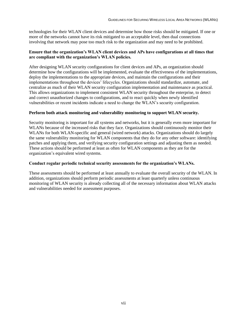technologies for their WLAN client devices and determine how those risks should be mitigated. If one or more of the networks cannot have its risk mitigated to an acceptable level, then dual connections involving that network may pose too much risk to the organization and may need to be prohibited.

# **Ensure that the organization's WLAN client devices and APs have configurations at all times that are compliant with the organization's WLAN policies.**

After designing WLAN security configurations for client devices and APs, an organization should determine how the configurations will be implemented, evaluate the effectiveness of the implementations, deploy the implementations to the appropriate devices, and maintain the configurations and their implementations throughout the devices' lifecycles. Organizations should standardize, automate, and centralize as much of their WLAN security configuration implementation and maintenance as practical. This allows organizations to implement consistent WLAN security throughout the enterprise, to detect and correct unauthorized changes to configurations, and to react quickly when newly identified vulnerabilities or recent incidents indicate a need to change the WLAN's security configuration.

# **Perform both attack monitoring and vulnerability monitoring to support WLAN security.**

Security monitoring is important for all systems and networks, but it is generally even more important for WLANs because of the increased risks that they face. Organizations should continuously monitor their WLANs for both WLAN-specific and general (wired network) attacks. Organizations should do largely the same vulnerability monitoring for WLAN components that they do for any other software: identifying patches and applying them, and verifying security configuration settings and adjusting them as needed. These actions should be performed at least as often for WLAN components as they are for the organization's equivalent wired systems.

# **Conduct regular periodic technical security assessments for the organization's WLANs.**

These assessments should be performed at least annually to evaluate the overall security of the WLAN. In addition, organizations should perform periodic assessments at least quarterly unless continuous monitoring of WLAN security is already collecting all of the necessary information about WLAN attacks and vulnerabilities needed for assessment purposes.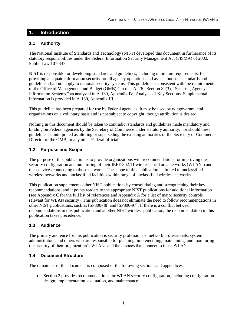# <span id="page-7-0"></span>**1. Introduction**

# <span id="page-7-1"></span>**1.1 Authority**

The National Institute of Standards and Technology (NIST) developed this document in furtherance of its statutory responsibilities under the Federal Information Security Management Act (FISMA) of 2002, Public Law 107-347.

NIST is responsible for developing standards and guidelines, including minimum requirements, for providing adequate information security for all agency operations and assets; but such standards and guidelines shall not apply to national security systems. This guideline is consistent with the requirements of the Office of Management and Budget (OMB) Circular A-130, Section 8b(3), "Securing Agency Information Systems," as analyzed in A-130, Appendix IV: Analysis of Key Sections. Supplemental information is provided in A-130, Appendix III.

This guideline has been prepared for use by Federal agencies. It may be used by nongovernmental organizations on a voluntary basis and is not subject to copyright, though attribution is desired.

Nothing in this document should be taken to contradict standards and guidelines made mandatory and binding on Federal agencies by the Secretary of Commerce under statutory authority, nor should these guidelines be interpreted as altering or superseding the existing authorities of the Secretary of Commerce, Director of the OMB, or any other Federal official.

# <span id="page-7-2"></span>**1.2 Purpose and Scope**

The purpose of this publication is to provide organizations with recommendations for improving the security configuration and monitoring of their IEEE 802.11 wireless local area networks (WLANs) and their devices connecting to those networks. The scope of this publication is limited to unclassified wireless networks and unclassified facilities within range of unclassified wireless networks.

This publication supplements other NIST publications by consolidating and strengthening their key recommendations, and it points readers to the appropriate NIST publications for additional information (see Appendix C for the full list of references and Appendix A for a list of major security controls relevant for WLAN security). This publication does not eliminate the need to follow recommendations in other NIST publications, such as [SP800-48] and [SP800-97]. If there is a conflict between recommendations in this publication and another NIST wireless publication, the recommendation in this publication takes precedence.

# <span id="page-7-3"></span>**1.3 Audience**

The primary audience for this publication is security professionals, network professionals, system administrators, and others who are responsible for planning, implementing, maintaining, and monitoring the security of their organization's WLANs and the devices that connect to those WLANs.

# <span id="page-7-4"></span>**1.4 Document Structure**

The remainder of this document is composed of the following sections and appendices:

 Section 2 provides recommendations for WLAN security configuration, including configuration design, implementation, evaluation, and maintenance.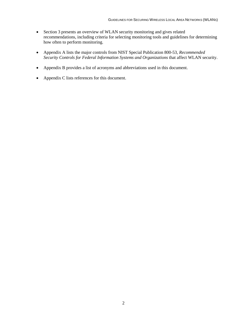- Section 3 presents an overview of WLAN security monitoring and gives related recommendations, including criteria for selecting monitoring tools and guidelines for determining how often to perform monitoring.
- Appendix A lists the major controls from NIST Special Publication 800-53, *Recommended Security Controls for Federal Information Systems and Organizations* that affect WLAN security.
- Appendix B provides a list of acronyms and abbreviations used in this document.
- Appendix C lists references for this document.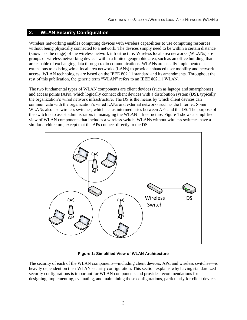# <span id="page-9-0"></span>**2. WLAN Security Configuration**

Wireless networking enables computing devices with wireless capabilities to use computing resources without being physically connected to a network. The devices simply need to be within a certain distance (known as the range) of the wireless network infrastructure. Wireless local area networks (WLANs) are groups of wireless networking devices within a limited geographic area, such as an office building, that are capable of exchanging data through radio communications. WLANs are usually implemented as extensions to existing wired local area networks (LANs) to provide enhanced user mobility and network access. WLAN technologies are based on the IEEE 802.11 standard and its amendments. Throughout the rest of this publication, the generic term "WLAN" refers to an IEEE 802.11 WLAN.

The two fundamental types of WLAN components are client devices (such as laptops and smartphones) and access points (APs), which logically connect client devices with a distribution system (DS), typically the organization's wired network infrastructure. The DS is the means by which client devices can communicate with the organization's wired LANs and external networks such as the Internet. Some WLANs also use wireless switches, which act as intermediaries between APs and the DS. The purpose of the switch is to assist administrators in managing the WLAN infrastructure. [Figure 1](#page-9-1) shows a simplified view of WLAN components that includes a wireless switch. WLANs without wireless switches have a similar architecture, except that the APs connect directly to the DS.



**Figure 1: Simplified View of WLAN Architecture**

<span id="page-9-1"></span>The security of each of the WLAN components—including client devices, APs, and wireless switches—is heavily dependent on their WLAN security configuration. This section explains why having standardized security configurations is important for WLAN components and provides recommendations for designing, implementing, evaluating, and maintaining those configurations, particularly for client devices.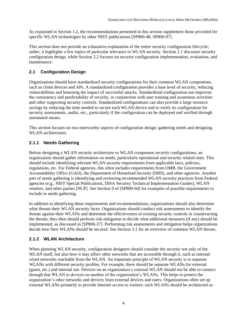As explained in Section 1.2, the recommendations presented in this section supplement those provided for specific WLAN technologies by other NIST publications [SP800-48, SP800-97].

This section does not provide an exhaustive explanation of the entire security configuration lifecycle; rather, it highlights a few topics of particular relevance to WLAN security. Section [2.1](#page-10-0) discusses security configuration design, while Section [2.2](#page-13-0) focuses on security configuration implementation, evaluation, and maintenance.

# <span id="page-10-0"></span>**2.1 Configuration Design**

Organizations should have standardized security configurations for their common WLAN components, such as client devices and APs. A standardized configuration provides a base level of security, reducing vulnerabilities and lessening the impact of successful attacks. Standardized configuration use improves the consistency and predictability of security, in conjunction with user training and awareness activities and other supporting security controls. Standardized configurations can also provide a large resource savings by reducing the time needed to secure each WLAN device and to verify its configuration for security assessments, audits, etc., particularly if the configuration can be deployed and verified through automated means.

This section focuses on two noteworthy aspects of configuration design: gathering needs and designing WLAN architectures.

# <span id="page-10-1"></span>**2.1.1 Needs Gathering**

Before designing a WLAN security architecture or WLAN component security configurations, an organization should gather information on needs, particularly operational and security related ones. This should include identifying relevant WLAN security requirements from applicable laws, policies, regulations, etc. For Federal agencies, this often includes requirements from OMB, the Government Accountability Office (GAO), the Department of Homeland Security (DHS), and other agencies. Another part of needs gathering is identifying and reviewing recommended WLAN security practices from Federal agencies (e.g., NIST Special Publications, DISA Security Technical Implementation Guides), WLAN vendors, and other parties [NCP]. See Section 9 of [SP800-94] for examples of possible requirements to include in needs gathering.

In addition to identifying these requirements and recommendations, organizations should also determine what threats their WLAN security faces. Organizations should conduct risk assessments to identify the threats against their WLANs and determine the effectiveness of existing security controls in counteracting the threats; they then should perform risk mitigation to decide what additional measures (if any) should be implemented, as discussed in [SP800-37]. Performing risk assessments and mitigation helps organizations decide how their WLANs should be secured. See Section [3.1](#page-14-1) for an overview of common WLAN threats.

# <span id="page-10-2"></span>**2.1.2 WLAN Architecture**

When planning WLAN security, configuration designers should consider the security not only of the WLAN itself, but also how it may affect other networks that are accessible through it, such as internal wired networks reachable from the WLAN. An important principle of WLAN security is to separate WLANs with different security profiles. For example, there should be separate WLANs for external (guest, etc.) and internal use. Devices on an organization's external WLAN should not be able to connect through that WLAN to devices on another of the organization's WLANs. This helps to protect the organization's other networks and devices from external devices and users. Organizations often set up external WLANs primarily to provide Internet access to visitors; such WLANs should be architected so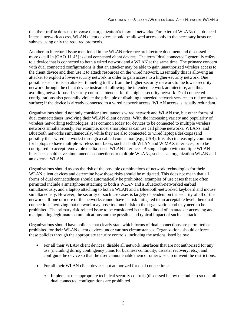that their traffic does not traverse the organization's internal networks. For external WLANs that do need internal network access, WLAN client devices should be allowed access only to the necessary hosts or subnets using only the required protocols.

Another architectural issue mentioned in the WLAN reference architecture document and discussed in more detail in [GAO-11-43] is dual connected client devices. The term "dual connected" generally refers to a device that is connected to both a wired network and a WLAN at the same time. The primary concern with dual connected configurations is that an attacker may be able to gain unauthorized wireless access to the client device and then use it to attack resources on the wired network. Essentially this is allowing an attacker to exploit a lower-security network in order to gain access to a higher-security network. One possible scenario is an attacker tunneling traffic from the higher-security network to the lower-security network through the client device instead of following the intended network architecture, and thus avoiding network-based security controls intended for the higher-security network. Dual connected configurations also generally violate the principle of disabling unneeded network services to reduce attack surface; if the device is already connected to a wired network access, WLAN access is usually redundant.

Organizations should not only consider simultaneous wired network and WLAN use, but other forms of dual connectedness involving their WLAN client devices. With the increasing variety and popularity of wireless networking technologies, it is common today for devices to be connected to multiple wireless networks simultaneously. For example, most smartphones can use cell phone networks, WLANs, and Bluetooth networks simultaneously, while they are also connected to wired laptops/desktops (and possibly their wired networks) through a cabled connection (e.g., USB). It is also increasingly common for laptops to have multiple wireless interfaces, such as both WLAN and WiMAX interfaces, or to be configured to accept removable media-based WLAN interfaces. A single laptop with multiple WLAN interfaces could have simultaneous connections to multiple WLANs, such as an organization WLAN and an external WLAN.

Organizations should assess the risk of the possible combinations of network technologies for their WLAN client devices and determine how those risks should be mitigated. This does not mean that all forms of dual connectedness should automatically be prohibited; examples of use cases that are often permitted include a smartphone attaching to both a WLAN and a Bluetooth-networked earbud simultaneously, and a laptop attaching to both a WLAN and a Bluetooth-networked keyboard and mouse simultaneously. However, the security of such use cases is largely dependent on the security of all of the networks. If one or more of the networks cannot have its risk mitigated to an acceptable level, then dual connections involving that network may pose too much risk to the organization and may need to be prohibited. The primary risk-related issue to be considered is the likelihood of an attacker accessing and manipulating legitimate communications and the possible and typical impact of such an attack.

Organizations should have policies that clearly state which forms of dual connections are permitted or prohibited for their WLAN client devices under various circumstances. Organizations should enforce these policies through the appropriate security controls, including the actions listed below:

- For all their WLAN client devices: disable all network interfaces that are not authorized for any use (including during contingency plans for business continuity, disaster recovery, etc.), and configure the device so that the user cannot enable them or otherwise circumvent the restrictions.
- For all their WLAN client devices not authorized for dual connections:
	- o Implement the appropriate technical security controls (discussed below the bullets) so that all dual connected configurations are prohibited.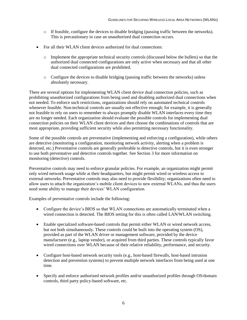- $\circ$  If feasible, configure the devices to disable bridging (passing traffic between the networks). This is precautionary in case an unauthorized dual connection occurs.
- For all their WLAN client devices authorized for dual connections:
	- o Implement the appropriate technical security controls (discussed below the bullets) so that the authorized dual connected configurations are only active when necessary and that all other dual connected configurations are prohibited.
	- o Configure the devices to disable bridging (passing traffic between the networks) unless absolutely necessary.

There are several options for implementing WLAN client device dual connection policies, such as prohibiting unauthorized configurations from being used and disabling authorized dual connections when not needed. To enforce such restrictions, organizations should rely on automated technical controls whenever feasible. Non-technical controls are usually not effective enough; for example, it is generally not feasible to rely on users to remember to always promptly disable WLAN interfaces every time they are no longer needed. Each organization should evaluate the possible controls for implementing dual connection policies on their WLAN client devices and then choose the combinations of controls that are most appropriate, providing sufficient security while also permitting necessary functionality.

Some of the possible controls are preventative (implementing and enforcing a configuration), while others are detective (monitoring a configuration, monitoring network activity, alerting when a problem is detected, etc.) Preventative controls are generally preferable to detective controls, but it is even stronger to use both preventative and detective controls together. See Section [3](#page-14-0) for more information on monitoring (detective) controls.

Preventative controls may need to enforce granular policies. For example, an organization might permit only wired network usage while at their headquarters, but might permit wired or wireless access to external networks. Preventative controls may also need to provide flexibility; organizations often need to allow users to attach the organization's mobile client devices to new external WLANs, and thus the users need some ability to manage their devices' WLAN configuration.

Examples of preventative controls include the following:

- Configure the device's BIOS so that WLAN connections are automatically terminated when a wired connection is detected. The BIOS setting for this is often called LAN/WLAN switching.
- Enable specialized software-based controls that permit either WLAN or wired network access, but not both simultaneously. These controls could be built into the operating system (OS), provided as part of the WLAN driver or management software, provided by the device manufacturer (e.g., laptop vendor), or acquired from third parties. These controls typically favor wired connections over WLAN because of their relative reliability, performance, and security.
- Configure host-based network security tools (e.g., host-based firewalls, host-based intrusion detection and prevention systems) to prevent multiple network interfaces from being used at one time.
- Specify and enforce authorized network profiles and/or unauthorized profiles through OS/domain controls, third party policy-based software, etc.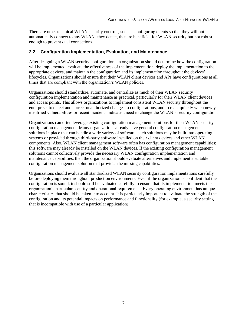There are other technical WLAN security controls, such as configuring clients so that they will not automatically connect to any WLANs they detect, that are beneficial for WLAN security but not robust enough to prevent dual connections.

# <span id="page-13-0"></span>**2.2 Configuration Implementation, Evaluation, and Maintenance**

After designing a WLAN security configuration, an organization should determine how the configuration will be implemented, evaluate the effectiveness of the implementation, deploy the implementation to the appropriate devices, and maintain the configuration and its implementation throughout the devices' lifecycles. Organizations should ensure that their WLAN client devices and APs have configurations at all times that are compliant with the organization's WLAN policies.

Organizations should standardize, automate, and centralize as much of their WLAN security configuration implementation and maintenance as practical, particularly for their WLAN client devices and access points. This allows organizations to implement consistent WLAN security throughout the enterprise, to detect and correct unauthorized changes to configurations, and to react quickly when newly identified vulnerabilities or recent incidents indicate a need to change the WLAN's security configuration.

Organizations can often leverage existing configuration management solutions for their WLAN security configuration management. Many organizations already have general configuration management solutions in place that can handle a wide variety of software; such solutions may be built into operating systems or provided through third-party software installed on their client devices and other WLAN components. Also, WLAN client management software often has configuration management capabilities; this software may already be installed on the WLAN devices. If the existing configuration management solutions cannot collectively provide the necessary WLAN configuration implementation and maintenance capabilities, then the organization should evaluate alternatives and implement a suitable configuration management solution that provides the missing capabilities.

Organizations should evaluate all standardized WLAN security configuration implementations carefully before deploying them throughout production environments. Even if the organization is confident that the configuration is sound, it should still be evaluated carefully to ensure that its implementation meets the organization's particular security and operational requirements. Every operating environment has unique characteristics that should be taken into account. It is particularly important to evaluate the strength of the configuration and its potential impacts on performance and functionality (for example, a security setting that is incompatible with use of a particular application).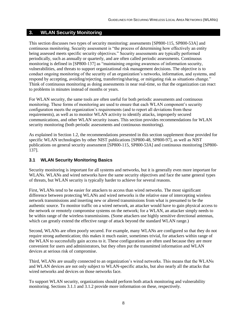# <span id="page-14-0"></span>**3. WLAN Security Monitoring**

This section discusses two types of security monitoring: assessments [SP800-115, SP800-53A] and continuous monitoring. Security assessment is "the process of determining how effectively an entity being assessed meets specific security objectives." Security assessments are typically performed periodically, such as annually or quarterly, and are often called periodic assessments. Continuous monitoring is defined in [SP800-137] as "maintaining ongoing awareness of information security, vulnerabilities, and threats to support organizational risk management decisions. The objective is to conduct ongoing monitoring of the security of an organization's networks, information, and systems, and respond by accepting, avoiding/rejecting, transferring/sharing, or mitigating risk as situations change." Think of continuous monitoring as doing assessments in near real-time, so that the organization can react to problems in minutes instead of months or years.

For WLAN security, the same tools are often useful for both periodic assessments and continuous monitoring. These forms of monitoring are used to ensure that each WLAN component's security configuration meets the organization's requirements (and to report all deviations from these requirements), as well as to monitor WLAN activity to identify attacks, improperly secured communications, and other WLAN security issues. This section provides recommendations for WLAN security monitoring (both periodic assessments and continuous monitoring).

As explained in Section 1.2, the recommendations presented in this section supplement those provided for specific WLAN technologies by other NIST publications [SP800-48, SP800-97], as well as NIST publications on general security assessment [SP800-115, SP800-53A] and continuous monitoring [SP800- 137].

# <span id="page-14-1"></span>**3.1 WLAN Security Monitoring Basics**

Security monitoring is important for all systems and networks, but it is generally even more important for WLANs. WLANs and wired networks have the same security objectives and face the same general types of threats, but WLAN security is typically harder to achieve for several reasons.

First, WLANs tend to be easier for attackers to access than wired networks. The most significant difference between protecting WLANs and wired networks is the relative ease of intercepting wireless network transmissions and inserting new or altered transmissions from what is presumed to be the authentic source. To monitor traffic on a wired network, an attacker would have to gain physical access to the network or remotely compromise systems on the network; for a WLAN, an attacker simply needs to be within range of the wireless transmissions. (Some attackers use highly sensitive directional antennas, which can greatly extend the effective range of attack beyond the standard WLAN range.)

Second, WLANs are often poorly secured. For example, many WLANs are configured so that they do not require strong authentication; this makes it much easier, sometimes trivial, for attackers within range of the WLAN to successfully gain access to it. These configurations are often used because they are more convenient for users and administrators, but they often put the transmitted information and WLAN devices at serious risk of compromise.

Third, WLANs are usually connected to an organization's wired networks. This means that the WLANs and WLAN devices are not only subject to WLAN-specific attacks, but also nearly all the attacks that wired networks and devices on those networks face.

To support WLAN security, organizations should perform both attack monitoring and vulnerability monitoring. Sections [3.1.1](#page-15-0) and [3.1.2](#page-16-0) provide more information on these, respectively.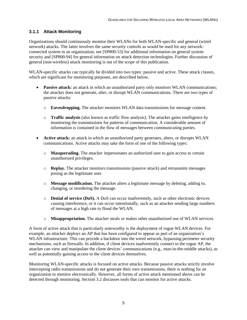# <span id="page-15-0"></span>**3.1.1 Attack Monitoring**

Organizations should continuously monitor their WLANs for both WLAN-specific and general (wired network) attacks. The latter involves the same security controls as would be used for any networkconnected system in an organization; see [SP800-53] for additional information on general system security and [SP800-94] for general information on attack detection technologies. Further discussion of general (non-wireless) attack monitoring is out of the scope of this publication.

WLAN-specific attacks can typically be divided into two types: passive and active. These attack classes, which are significant for monitoring purposes, are described below.

- **Passive attack:** an attack in which an unauthorized party only monitors WLAN communications; the attacker does not generate, alter, or disrupt WLAN communications. There are two types of passive attacks:
	- o **Eavesdropping.** The attacker monitors WLAN data transmissions for message content.
	- o **Traffic analysis** (also known as traffic flow analysis). The attacker gains intelligence by monitoring the transmissions for patterns of communication. A considerable amount of information is contained in the flow of messages between communicating parties.
- **Active attack:** an attack in which an unauthorized party generates, alters, or disrupts WLAN communications. Active attacks may take the form of one of the following types:
	- o **Masquerading.** The attacker impersonates an authorized user to gain access to certain unauthorized privileges.
	- o **Replay.** The attacker monitors transmissions (passive attack) and retransmits messages posing as the legitimate user.
	- o **Message modification.** The attacker alters a legitimate message by deleting, adding to, changing, or reordering the message.
	- o **Denial of service (DoS).** A DoS can occur inadvertently, such as other electronic devices causing interference, or it can occur intentionally, such as an attacker sending large numbers of messages at a high rate to flood the WLAN.
	- o **Misappropriation.** The attacker steals or makes other unauthorized use of WLAN services.

A form of active attack that is particularly noteworthy is the deployment of rogue WLAN devices. For example, an attacker deploys an AP that has been configured to appear as part of an organization's WLAN infrastructure. This can provide a backdoor into the wired network, bypassing perimeter security mechanisms, such as firewalls. In addition, if client devices inadvertently connect to the rogue AP, the attacker can view and manipulate the client devices' communications (e.g., man-in-the-middle attacks), as well as potentially gaining access to the client devices themselves.

Monitoring WLAN-specific attacks is focused on active attacks. Because passive attacks strictly involve intercepting radio transmissions and do not generate their own transmissions, there is nothing for an organization to monitor electronically. However, all forms of active attack mentioned above can be detected through monitoring. Section [3.2](#page-16-1) discusses tools that can monitor for active attacks.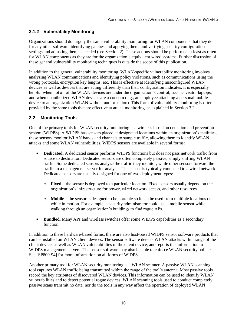# <span id="page-16-0"></span>**3.1.2 Vulnerability Monitoring**

Organizations should do largely the same vulnerability monitoring for WLAN components that they do for any other software: identifying patches and applying them, and verifying security configuration settings and adjusting them as needed (see Section 2). These actions should be performed at least as often for WLAN components as they are for the organization's equivalent wired systems. Further discussion of these general vulnerability monitoring techniques is outside the scope of this publication.

In addition to the general vulnerability monitoring, WLAN-specific vulnerability monitoring involves analyzing WLAN communications and identifying policy violations, such as communications using the wrong protocols, encryption key lengths, etc. This is effective at identifying misconfigured WLAN devices as well as devices that are acting differently than their configuration indicates. It is especially helpful when not all of the WLAN devices are under the organization's control, such as visitor laptops, and when unauthorized WLAN devices are a concern (e.g., an employee attaching a personal mobile device to an organization WLAN without authorization). This form of vulnerability monitoring is often provided by the same tools that are effective at attack monitoring, as explained in Section [3.2.](#page-16-1)

# <span id="page-16-1"></span>**3.2 Monitoring Tools**

One of the primary tools for WLAN security monitoring is a wireless intrusion detection and prevention system (WIDPS). A WIDPS has sensors placed at designated locations within an organization's facilities; these sensors monitor WLAN bands and channels to sample traffic, allowing them to identify WLAN attacks and some WLAN vulnerabilities. WIDPS sensors are available in several forms:

- **Dedicated.** A dedicated sensor performs WIDPS functions but does not pass network traffic from source to destination. Dedicated sensors are often completely passive, simply sniffing WLAN traffic. Some dedicated sensors analyze the traffic they monitor, while other sensors forward the traffic to a management server for analysis. The sensor is typically connected to a wired network. Dedicated sensors are usually designed for one of two deployment types:
	- o **Fixed**—the sensor is deployed to a particular location. Fixed sensors usually depend on the organization's infrastructure for power, wired network access, and other resources.
	- o **Mobile**—the sensor is designed to be portable so it can be used from multiple locations or while in motion. For example, a security administrator could use a mobile sensor while walking through an organization's buildings to find rogue APs.
- **Bundled.** Many APs and wireless switches offer some WIDPS capabilities as a secondary function.

In addition to these hardware-based forms, there are also host-based WIDPS sensor software products that can be installed on WLAN client devices. The sensor software detects WLAN attacks within range of the client device, as well as WLAN vulnerabilities of the client device, and reports this information to WIDPS management servers. The sensor software may also be able to enforce WLAN security policies. See [SP800-94] for more information on all forms of WIDPS.

Another primary tool for WLAN security monitoring is a WLAN scanner. A passive WLAN scanning tool captures WLAN traffic being transmitted within the range of the tool's antenna. Most passive tools record the key attributes of discovered WLAN devices. This information can be used to identify WLAN vulnerabilities and to detect potential rogue devices. WLAN scanning tools used to conduct completely passive scans transmit no data, nor do the tools in any way affect the operation of deployed WLAN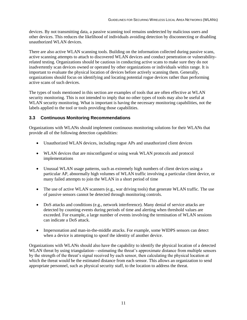devices. By not transmitting data, a passive scanning tool remains undetected by malicious users and other devices. This reduces the likelihood of individuals avoiding detection by disconnecting or disabling unauthorized WLAN devices.

There are also active WLAN scanning tools. Building on the information collected during passive scans, active scanning attempts to attach to discovered WLAN devices and conduct penetration or vulnerabilityrelated testing. Organizations should be cautious in conducting active scans to make sure they do not inadvertently scan devices owned or operated by other organizations or individuals within range. It is important to evaluate the physical location of devices before actively scanning them. Generally, organizations should focus on identifying and locating potential rogue devices rather than performing active scans of such devices.

The types of tools mentioned in this section are examples of tools that are often effective at WLAN security monitoring. This is not intended to imply that no other types of tools may also be useful at WLAN security monitoring. What is important is having the necessary monitoring capabilities, not the labels applied to the tool or tools providing those capabilities.

# <span id="page-17-0"></span>**3.3 Continuous Monitoring Recommendations**

Organizations with WLANs should implement continuous monitoring solutions for their WLANs that provide all of the following detection capabilities:

- Unauthorized WLAN devices, including rogue APs and unauthorized client devices
- WLAN devices that are misconfigured or using weak WLAN protocols and protocol implementations
- Unusual WLAN usage patterns, such as extremely high numbers of client devices using a particular AP, abnormally high volumes of WLAN traffic involving a particular client device, or many failed attempts to join the WLAN in a short period of time
- The use of active WLAN scanners (e.g., war driving tools) that generate WLAN traffic. The use of passive sensors cannot be detected through monitoring controls.
- DoS attacks and conditions (e.g., network interference). Many denial of service attacks are detected by counting events during periods of time and alerting when threshold values are exceeded. For example, a large number of events involving the termination of WLAN sessions can indicate a DoS attack.
- Impersonation and man-in-the-middle attacks. For example, some WIDPS sensors can detect when a device is attempting to spoof the identity of another device.

Organizations with WLANs should also have the capability to identify the physical location of a detected WLAN threat by using triangulation—estimating the threat's approximate distance from multiple sensors by the strength of the threat's signal received by each sensor, then calculating the physical location at which the threat would be the estimated distance from each sensor. This allows an organization to send appropriate personnel, such as physical security staff, to the location to address the threat.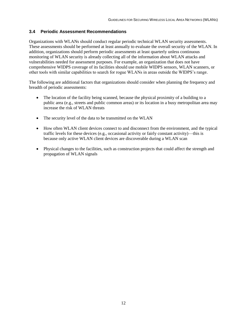# <span id="page-18-0"></span>**3.4 Periodic Assessment Recommendations**

Organizations with WLANs should conduct regular periodic technical WLAN security assessments. These assessments should be performed at least annually to evaluate the overall security of the WLAN. In addition, organizations should perform periodic assessments at least quarterly unless continuous monitoring of WLAN security is already collecting all of the information about WLAN attacks and vulnerabilities needed for assessment purposes. For example, an organization that does not have comprehensive WIDPS coverage of its facilities should use mobile WIDPS sensors, WLAN scanners, or other tools with similar capabilities to search for rogue WLANs in areas outside the WIDPS's range.

The following are additional factors that organizations should consider when planning the frequency and breadth of periodic assessments:

- The location of the facility being scanned, because the physical proximity of a building to a public area (e.g., streets and public common areas) or its location in a busy metropolitan area may increase the risk of WLAN threats
- The security level of the data to be transmitted on the WLAN
- How often WLAN client devices connect to and disconnect from the environment, and the typical traffic levels for these devices (e.g., occasional activity or fairly constant activity)—this is because only active WLAN client devices are discoverable during a WLAN scan
- Physical changes to the facilities, such as construction projects that could affect the strength and propagation of WLAN signals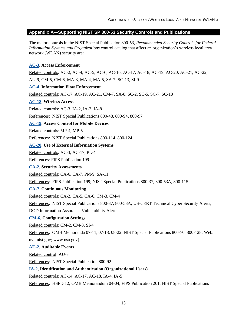# <span id="page-19-0"></span>**Appendix A—Supporting NIST SP 800-53 Security Controls and Publications**

The major controls in the NIST Special Publication 800-53, *Recommended Security Controls for Federal Information Systems and Organizations* control catalog that affect an organization's wireless local area network (WLAN) security are:

# **[AC-3](https://doi.org/10.6028/NIST.SP.800-53r3)**, **Access Enforcement**

Related controls: AC-2, AC-4, AC-5, AC-6, AC-16, AC-17, AC-18, AC-19, AC-20, AC-21, AC-22,

AU-9, CM-5, CM-6, MA-3, MA-4, MA-5, SA-7, SC-13, SI-9

# **[AC-4](https://doi.org/10.6028/NIST.SP.800-53r3)**, **Information Flow Enforcement**

Related controls: AC-17, AC-19, AC-21, CM-7, SA-8, SC-2, SC-5, SC-7, SC-18

#### **[AC-18](https://doi.org/10.6028/NIST.SP.800-53r3)**, **Wireless Access**

Related controls: AC-3, IA-2, IA-3, IA-8

References: NIST Special Publications 800-48, 800-94, 800-97

#### **[AC-19](https://doi.org/10.6028/NIST.SP.800-53r3)**, **Access Control for Mobile Devices**

Related controls: MP-4, MP-5

References: NIST Special Publications 800-114, 800-124

#### **[AC-20](https://doi.org/10.6028/NIST.SP.800-53r3)**, **Use of External Information Systems**

Related controls: AC-3, AC-17, PL-4

References: FIPS Publication 199

# **[CA-2,](https://doi.org/10.6028/NIST.SP.800-53r3) Security Assessments**

Related controls: CA-6, CA-7, PM-9, SA-11

References: FIPS Publication 199; NIST Special Publications 800-37, 800-53A, 800-115

# **[CA-7](https://doi.org/10.6028/NIST.SP.800-53r3)**, **Continuous Monitoring**

Related controls: CA-2, CA-5, CA-6, CM-3, CM-4

References: NIST Special Publications 800-37, 800-53A; US-CERT Technical Cyber Security Alerts;

DOD Information Assurance Vulnerability Alerts

#### **[CM-6,](https://doi.org/10.6028/NIST.SP.800-53r3) Configuration Settings**

Related controls: CM-2, CM-3, SI-4

References: OMB Memoranda 07-11, 07-18, 08-22; NIST Special Publications 800-70, 800-128; Web: nvd.nist.gov; www.nsa.gov)

# **[AU-2,](https://doi.org/10.6028/NIST.SP.800-53r3) Auditable Events**

Related control: AU-3

References: NIST Special Publication 800-92

# **[IA-2](https://doi.org/10.6028/NIST.SP.800-53r3)**, **Identification and Authentication (Organizational Users)**

Related controls: AC-14, AC-17, AC-18, IA-4, IA-5

References: HSPD 12; OMB Memorandum 04-04; FIPS Publication 201; NIST Special Publications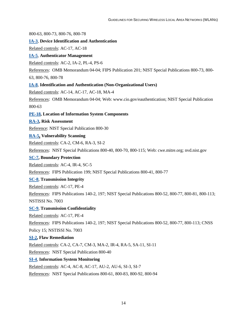#### 800-63, 800-73, 800-76, 800-78

# **[IA-3](https://doi.org/10.6028/NIST.SP.800-53r3)**, **Device Identification and Authentication**

Related controls: AC-17, AC-18

# **[IA-5](https://doi.org/10.6028/NIST.SP.800-53r3)**, **Authenticator Management**

Related controls: AC-2, IA-2, PL-4, PS-6

References: OMB Memorandum 04-04; FIPS Publication 201; NIST Special Publications 800-73, 800- 63, 800-76, 800-78

# **[IA-8](https://doi.org/10.6028/NIST.SP.800-53r3)**, **Identification and Authentication (Non-Organizational Users)**

Related controls: AC-14, AC-17, AC-18, MA-4

References: OMB Memorandum 04-04; Web: www.cio.gov/eauthentication; NIST Special Publication 800-63

#### **[PE-18,](https://doi.org/10.6028/NIST.SP.800-53r3) Location of Information System Components**

**[RA-3,](https://doi.org/10.6028/NIST.SP.800-53r3) Risk Assessment**

Reference: NIST Special Publication 800-30

# **[RA-5,](https://doi.org/10.6028/NIST.SP.800-53r3) Vulnerability Scanning**

Related controls: CA-2, CM-6, RA-3, SI-2

References: NIST Special Publications 800-40, 800-70, 800-115; Web: cwe.mitre.org; nvd.nist.gov

#### **[SC-7,](https://doi.org/10.6028/NIST.SP.800-53r3) Boundary Protection**

Related controls: AC-4, IR-4, SC-5

References: FIPS Publication 199; NIST Special Publications 800-41, 800-77

# **[SC-8](https://doi.org/10.6028/NIST.SP.800-53r3)**, **Transmission Integrity**

Related controls: AC-17, PE-4

References: FIPS Publications 140-2, 197; NIST Special Publications 800-52, 800-77, 800-81, 800-113; NSTISSI No. 7003

# **[SC-9](https://doi.org/10.6028/NIST.SP.800-53r3)**, **Transmission Confidentiality**

Related controls: AC-17, PE-4

References: FIPS Publications 140-2, 197; NIST Special Publications 800-52, 800-77, 800-113; CNSS Policy 15; NSTISSI No. 7003

# **[SI-2,](https://doi.org/10.6028/NIST.SP.800-53r3) Flaw Remediation**

Related controls: CA-2, CA-7, CM-3, MA-2, IR-4, RA-5, SA-11, SI-11

References: NIST Special Publication 800-40

# **[SI-4](https://doi.org/10.6028/NIST.SP.800-53r3)**, **Information System Monitoring**

Related controls: AC-4, AC-8, AC-17, AU-2, AU-6, SI-3, SI-7

References: NIST Special Publications 800-61, 800-83, 800-92, 800-94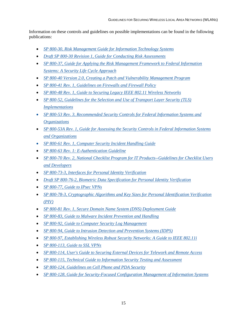Information on these controls and guidelines on possible implementations can be found in the following publications:

- *[SP 800-30, Risk Management Guide for Information Technology Systems](http://csrc.nist.gov/publications/nistpubs/800-30/sp800-30.pdf)*
- *[Draft SP 800-30 Revision 1, Guide](http://csrc.nist.gov/publications/drafts/800-30-rev1/SP800-30-Rev1-ipd.pdf) for Conducting Risk Assessments*
- *[SP 800-37, Guide for Applying the Risk Management Framework to Federal Information](http://csrc.nist.gov/publications/nistpubs/800-37-rev1/sp800-37-rev1-final.pdf)  [Systems: A Security Life Cycle Approach](http://csrc.nist.gov/publications/nistpubs/800-37-rev1/sp800-37-rev1-final.pdf)*
- *[SP 800-40 Version 2.0, Creating a Patch and Vulnerability Management Program](http://csrc.nist.gov/publications/nistpubs/800-40-Ver2/SP800-40v2.pdf)*
- *[SP 800-41 Rev. 1, Guidelines on Firewalls and Firewall Policy](http://csrc.nist.gov/publications/nistpubs/800-41-Rev1/sp800-41-rev1.pdf)*
- *[SP 800-48 Rev. 1, Guide to Securing Legacy IEEE 802.11 Wireless Networks](http://csrc.nist.gov/publications/nistpubs/800-48-rev1/SP800-48r1.pdf)*
- *[SP 800-52, Guidelines for the Selection and Use of Transport Layer Security \(TLS\)](http://csrc.nist.gov/publications/nistpubs/800-52/SP800-52.pdf)  [Implementations](http://csrc.nist.gov/publications/nistpubs/800-52/SP800-52.pdf)*
- *[SP 800-53 Rev. 3, Recommended Security Controls for Federal Information Systems and](http://csrc.nist.gov/publications/nistpubs/800-53-Rev3/sp800-53-rev3-final_updated-errata_05-01-2010.pdf)  [Organizations](http://csrc.nist.gov/publications/nistpubs/800-53-Rev3/sp800-53-rev3-final_updated-errata_05-01-2010.pdf)*
- *[SP 800-53A Rev. 1, Guide for Assessing the Security Controls in Federal Information Systems](http://csrc.nist.gov/publications/nistpubs/800-53A-rev1/sp800-53A-rev1-final.pdf)  [and Organizations](http://csrc.nist.gov/publications/nistpubs/800-53A-rev1/sp800-53A-rev1-final.pdf)*
- *[SP 800-61 Rev. 1, Computer Security Incident Handling Guide](http://csrc.nist.gov/publications/nistpubs/800-61-rev1/SP800-61rev1.pdf)*
- *[SP 800-63 Rev. 1: E-Authentication Guideline](http://csrc.nist.gov/publications/nistpubs/800-63-1/SP-800-63-1.pdf)*
- *[SP 800-70 Rev. 2, National Checklist Program for IT Products--Guidelines for Checklist Users](http://csrc.nist.gov/publications/nistpubs/800-70-rev2/SP800-70-rev2.pdf)  [and Developers](http://csrc.nist.gov/publications/nistpubs/800-70-rev2/SP800-70-rev2.pdf)*
- *[SP 800-73-3, Interfaces for Personal Identity Verification](http://csrc.nist.gov/publications/PubsSPs.html)*
- *[Draft SP 800-76-2, Biometric Data Specification for Personal Identity Verification](http://csrc.nist.gov/publications/drafts/800-76-2/Draft_SP800-76-2.pdf)*
- *[SP 800-77, Guide to IPsec VPNs](http://csrc.nist.gov/publications/nistpubs/800-77/sp800-77.pdf)*
- *[SP 800-78-3, Cryptographic Algorithms and Key Sizes for Personal Identification Verification](http://csrc.nist.gov/publications/nistpubs/800-78-3/sp800-78-3.pdf)  [\(PIV\)](http://csrc.nist.gov/publications/nistpubs/800-78-3/sp800-78-3.pdf)*
- *[SP 800-81 Rev. 1, Secure Domain Name System \(DNS\) Deployment Guide](http://csrc.nist.gov/publications/nistpubs/800-81r1/sp-800-81r1.pdf)*
- *[SP 800-83, Guide to Malware Incident Prevention and Handling](http://csrc.nist.gov/publications/nistpubs/800-83/SP800-83.pdf)*
- *[SP 800-92, Guide to Computer Security Log Management](http://csrc.nist.gov/publications/nistpubs/800-92/SP800-92.pdf)*
- *[SP 800-94, Guide to Intrusion Detection and Prevention Systems \(IDPS\)](http://csrc.nist.gov/publications/nistpubs/800-94/SP800-94.pdf)*
- *[SP 800-97, Establishing Wireless Robust Security Networks: A Guide to IEEE 802.11i](http://csrc.nist.gov/publications/nistpubs/800-97/SP800-97.pdf)*
- *[SP 800-113, Guide to SSL VPNs](http://csrc.nist.gov/publications/nistpubs/800-113/SP800-113.pdf)*
- *[SP 800-114, User's Guide to Securing External Devices for Telework and Remote Access](http://csrc.nist.gov/publications/nistpubs/800-114/SP800-114.pdf)*
- *[SP 800-115, Technical Guide to Information Security Testing and Assessment](http://csrc.nist.gov/publications/nistpubs/800-115/SP800-115.pdf)*
- *[SP 800-124, Guidelines on Cell Phone and PDA Security](http://csrc.nist.gov/publications/nistpubs/800-124/SP800-124.pdf)*
- *[SP 800-128, Guide for Security-Focused Configuration Management of Information Systems](http://csrc.nist.gov/publications/nistpubs/800-128/sp800-128.pdf)*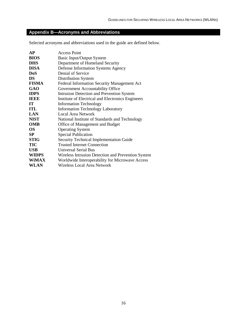# <span id="page-22-0"></span>**Appendix B—Acronyms and Abbreviations**

Selected acronyms and abbreviations used in the guide are defined below.

| <b>AP</b>    | <b>Access Point</b>                                |
|--------------|----------------------------------------------------|
| <b>BIOS</b>  | <b>Basic Input/Output System</b>                   |
| <b>DHS</b>   | Department of Homeland Security                    |
| <b>DISA</b>  | Defense Information Systems Agency                 |
| <b>DoS</b>   | Denial of Service                                  |
| DS           | Distribution System                                |
| <b>FISMA</b> | <b>Federal Information Security Management Act</b> |
| <b>GAO</b>   | Government Accountability Office                   |
| <b>IDPS</b>  | Intrusion Detection and Prevention System          |
| <b>IEEE</b>  | Institute of Electrical and Electronics Engineers  |
| <b>IT</b>    | <b>Information Technology</b>                      |
| <b>ITL</b>   | <b>Information Technology Laboratory</b>           |
| <b>LAN</b>   | <b>Local Area Network</b>                          |
| <b>NIST</b>  | National Institute of Standards and Technology     |
| <b>OMB</b>   | Office of Management and Budget                    |
| <b>OS</b>    | <b>Operating System</b>                            |
| SP.          | <b>Special Publication</b>                         |
| <b>STIG</b>  | Security Technical Implementation Guide            |
| <b>TIC</b>   | <b>Trusted Internet Connection</b>                 |
| <b>USB</b>   | Universal Serial Bus                               |
| <b>WIDPS</b> | Wireless Intrusion Detection and Prevention System |
| <b>WiMAX</b> | Worldwide Interoperability for Microwave Access    |
| <b>WLAN</b>  | <b>Wireless Local Area Network</b>                 |
|              |                                                    |